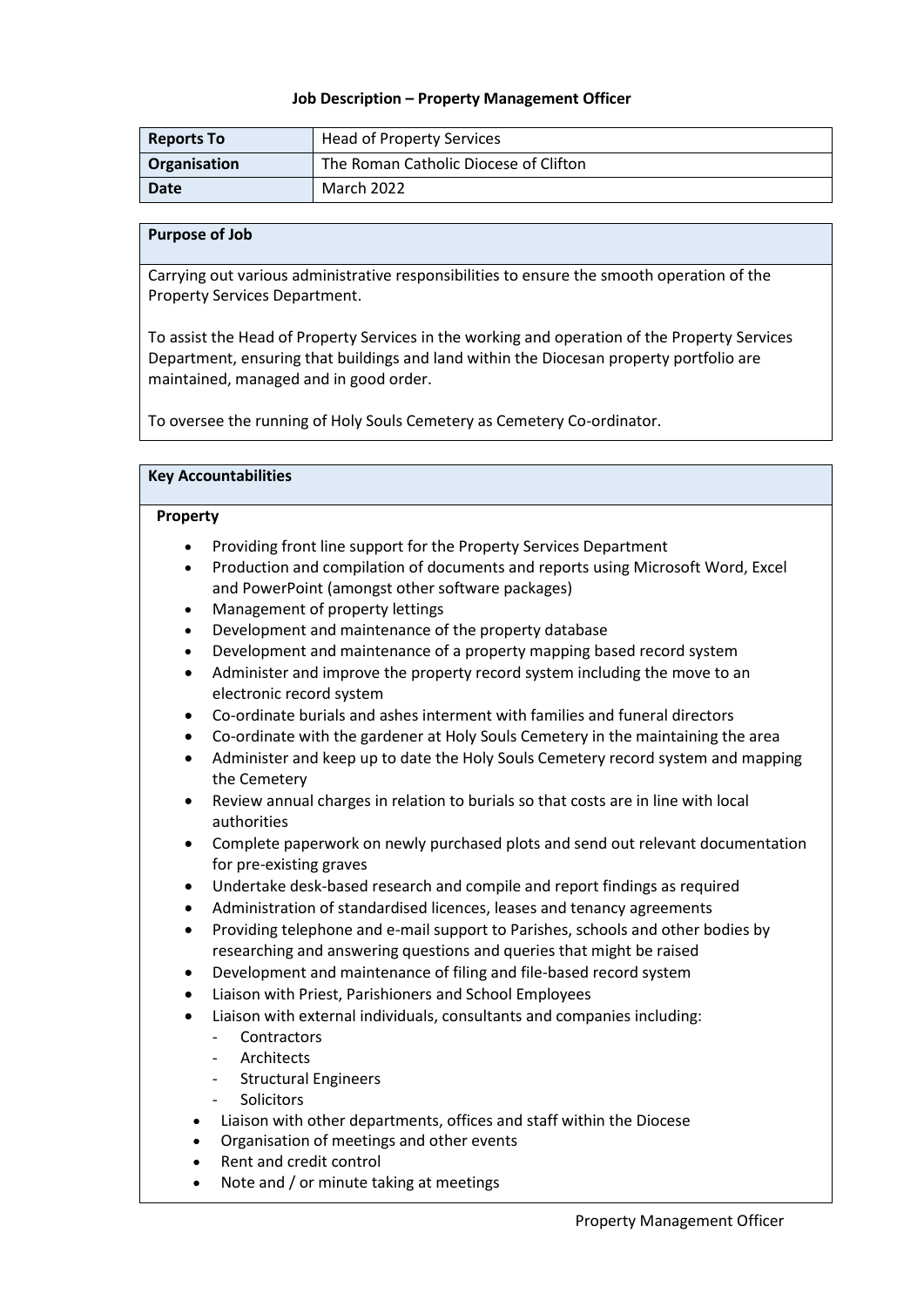### **Job Description – Property Management Officer**

| <b>Reports To</b> | <b>Head of Property Services</b>      |
|-------------------|---------------------------------------|
| Organisation      | The Roman Catholic Diocese of Clifton |
| Date              | March 2022                            |

### **Purpose of Job**

Carrying out various administrative responsibilities to ensure the smooth operation of the Property Services Department.

To assist the Head of Property Services in the working and operation of the Property Services Department, ensuring that buildings and land within the Diocesan property portfolio are maintained, managed and in good order.

To oversee the running of Holy Souls Cemetery as Cemetery Co-ordinator.

| <b>Key Accountabilities</b>                                                                          |                                                                                                                                                                                                                                                                                                                                                                                                                                                                                                                                                                                                                                                                                                                                                               |  |
|------------------------------------------------------------------------------------------------------|---------------------------------------------------------------------------------------------------------------------------------------------------------------------------------------------------------------------------------------------------------------------------------------------------------------------------------------------------------------------------------------------------------------------------------------------------------------------------------------------------------------------------------------------------------------------------------------------------------------------------------------------------------------------------------------------------------------------------------------------------------------|--|
| Property                                                                                             |                                                                                                                                                                                                                                                                                                                                                                                                                                                                                                                                                                                                                                                                                                                                                               |  |
| $\bullet$<br>$\bullet$<br>$\bullet$<br>$\bullet$<br>$\bullet$<br>$\bullet$<br>$\bullet$<br>$\bullet$ | Providing front line support for the Property Services Department<br>Production and compilation of documents and reports using Microsoft Word, Excel<br>and PowerPoint (amongst other software packages)<br>Management of property lettings<br>Development and maintenance of the property database<br>Development and maintenance of a property mapping based record system<br>Administer and improve the property record system including the move to an<br>electronic record system<br>Co-ordinate burials and ashes interment with families and funeral directors<br>Co-ordinate with the gardener at Holy Souls Cemetery in the maintaining the area<br>Administer and keep up to date the Holy Souls Cemetery record system and mapping<br>the Cemetery |  |
| $\bullet$<br>$\bullet$                                                                               | Review annual charges in relation to burials so that costs are in line with local<br>authorities<br>Complete paperwork on newly purchased plots and send out relevant documentation<br>for pre-existing graves                                                                                                                                                                                                                                                                                                                                                                                                                                                                                                                                                |  |
| $\bullet$<br>$\bullet$<br>$\bullet$<br>$\bullet$<br>$\bullet$                                        | Undertake desk-based research and compile and report findings as required<br>Administration of standardised licences, leases and tenancy agreements<br>Providing telephone and e-mail support to Parishes, schools and other bodies by<br>researching and answering questions and queries that might be raised<br>Development and maintenance of filing and file-based record system<br>Liaison with Priest, Parishioners and School Employees                                                                                                                                                                                                                                                                                                                |  |
| $\bullet$<br>$\bullet$<br>$\bullet$                                                                  | Liaison with external individuals, consultants and companies including:<br>Contractors<br>Architects<br>$\overline{\phantom{0}}$<br><b>Structural Engineers</b><br>$\blacksquare$<br>Solicitors<br>$\overline{a}$<br>Liaison with other departments, offices and staff within the Diocese<br>Organisation of meetings and other events<br>Rent and credit control<br>Note and / or minute taking at meetings                                                                                                                                                                                                                                                                                                                                                  |  |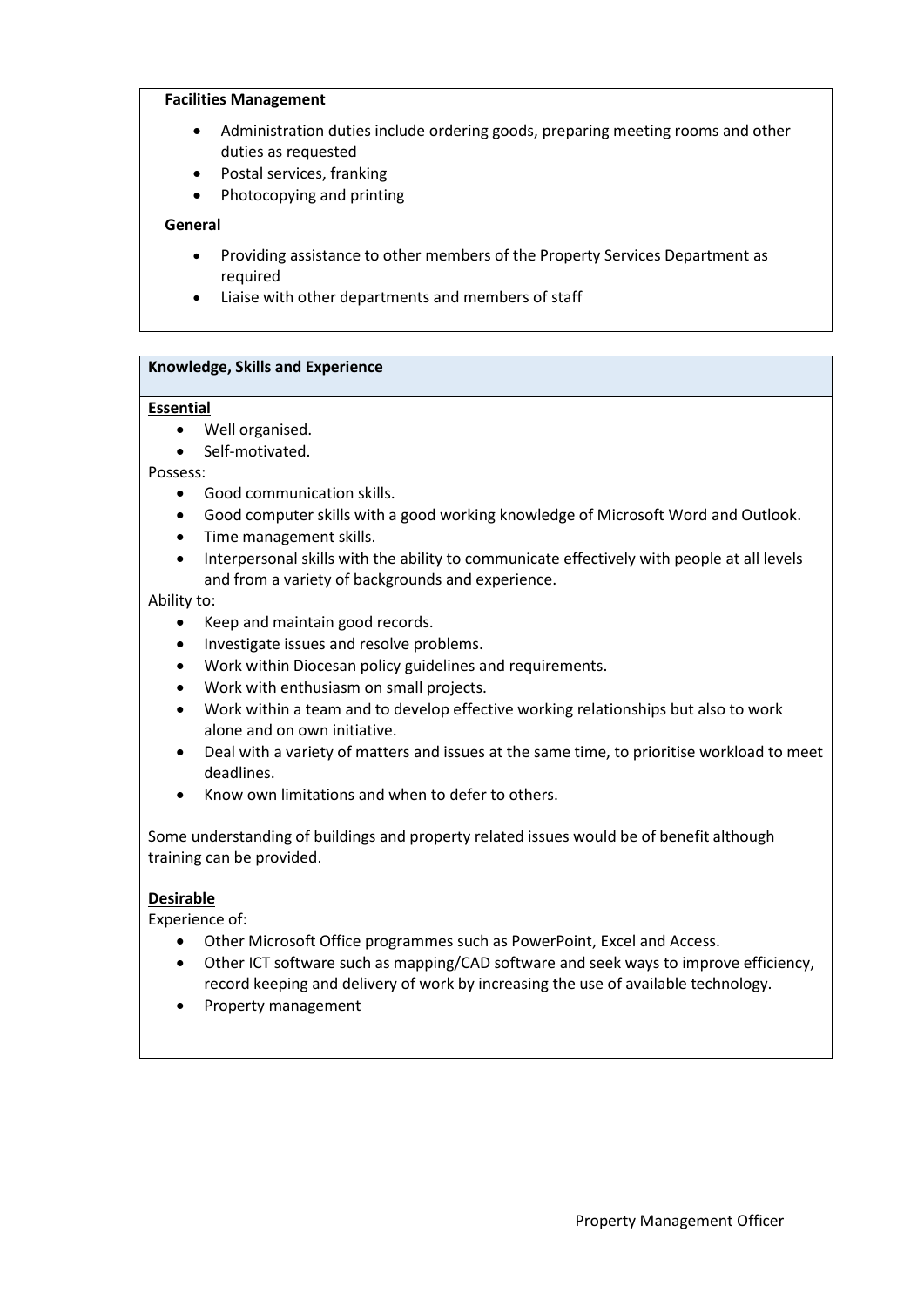### **Facilities Management**

- Administration duties include ordering goods, preparing meeting rooms and other duties as requested
- Postal services, franking
- Photocopying and printing

# **General**

- Providing assistance to other members of the Property Services Department as required
- Liaise with other departments and members of staff

# **Knowledge, Skills and Experience**

## **Essential**

- Well organised.
- Self-motivated.

Possess:

- Good communication skills.
- Good computer skills with a good working knowledge of Microsoft Word and Outlook.
- Time management skills.
- Interpersonal skills with the ability to communicate effectively with people at all levels and from a variety of backgrounds and experience.

Ability to:

- Keep and maintain good records.
- Investigate issues and resolve problems.
- Work within Diocesan policy guidelines and requirements.
- Work with enthusiasm on small projects.
- Work within a team and to develop effective working relationships but also to work alone and on own initiative.
- Deal with a variety of matters and issues at the same time, to prioritise workload to meet deadlines.
- Know own limitations and when to defer to others.

Some understanding of buildings and property related issues would be of benefit although training can be provided.

# **Desirable**

Experience of:

- Other Microsoft Office programmes such as PowerPoint, Excel and Access.
- Other ICT software such as mapping/CAD software and seek ways to improve efficiency, record keeping and delivery of work by increasing the use of available technology.
- Property management